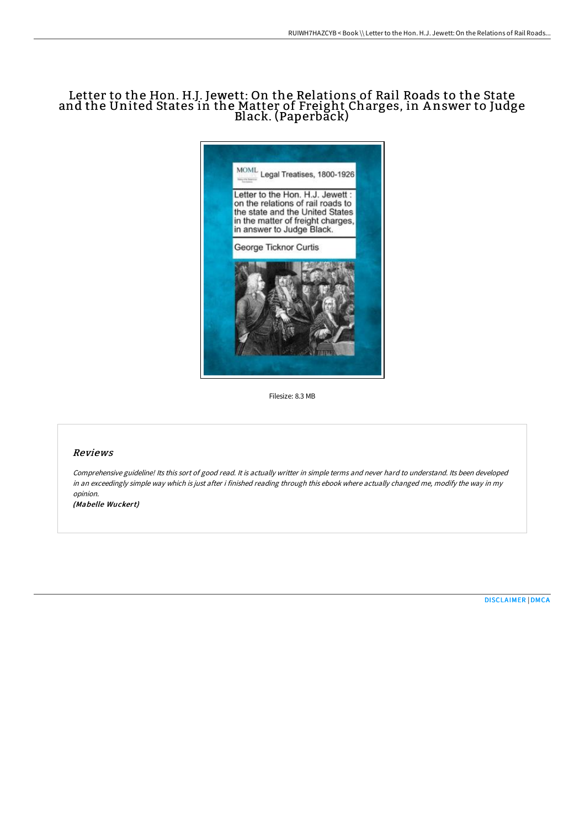# Letter to the Hon. H.J. Jewett: On the Relations of Rail Roads to the State and the United States in the Matter of Freight Charges, in A nswer to Judge Black. (Paperbăck)



Filesize: 8.3 MB

## Reviews

Comprehensive guideline! Its this sort of good read. It is actually writter in simple terms and never hard to understand. Its been developed in an exceedingly simple way which is just after i finished reading through this ebook where actually changed me, modify the way in my opinion.

(Mabelle Wuckert)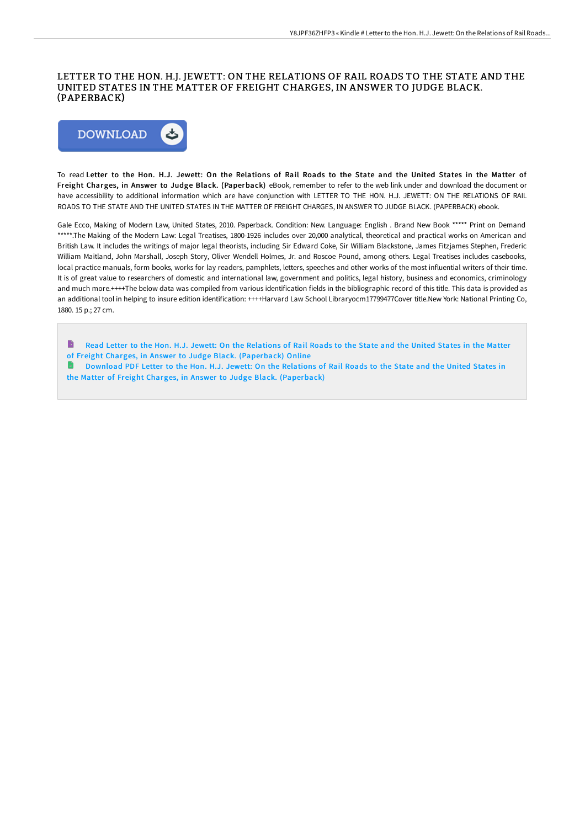## LETTER TO THE HON. H.J. JEWETT: ON THE RELATIONS OF RAIL ROADS TO THE STATE AND THE UNITED STATES IN THE MATTER OF FREIGHT CHARGES, IN ANSWER TO JUDGE BLACK. (PAPERBACK)



To read Letter to the Hon. H.J. Jewett: On the Relations of Rail Roads to the State and the United States in the Matter of Freight Charges, in Answer to Judge Black. (Paperback) eBook, remember to refer to the web link under and download the document or have accessibility to additional information which are have conjunction with LETTER TO THE HON. H.J. JEWETT: ON THE RELATIONS OF RAIL ROADS TO THE STATE AND THE UNITED STATES IN THE MATTER OF FREIGHT CHARGES, IN ANSWER TO JUDGE BLACK. (PAPERBACK) ebook.

Gale Ecco, Making of Modern Law, United States, 2010. Paperback. Condition: New. Language: English . Brand New Book \*\*\*\*\* Print on Demand \*\*\*\*\*.The Making of the Modern Law: Legal Treatises, 1800-1926 includes over 20,000 analytical, theoretical and practical works on American and British Law. It includes the writings of major legal theorists, including Sir Edward Coke, Sir William Blackstone, James Fitzjames Stephen, Frederic William Maitland, John Marshall, Joseph Story, Oliver Wendell Holmes, Jr. and Roscoe Pound, among others. Legal Treatises includes casebooks, local practice manuals, form books, works for lay readers, pamphlets, letters, speeches and other works of the most influential writers of their time. It is of great value to researchers of domestic and international law, government and politics, legal history, business and economics, criminology and much more.++++The below data was compiled from various identification fields in the bibliographic record of this title. This data is provided as an additional tool in helping to insure edition identification: ++++Harvard Law School Libraryocm17799477Cover title.New York: National Printing Co, 1880. 15 p.; 27 cm.

- B Read Letter to the Hon. H.J. Jewett: On the Relations of Rail Roads to the State and the United States in the Matter
- of Freight Charges, in Answer to Judge Black. [\(Paperback\)](http://techno-pub.tech/letter-to-the-hon-h-j-jewett-on-the-relations-of.html) Online
- Download PDF Letter to the Hon. H.J. Jewett: On the Relations of Rail Roads to the State and the United States in the Matter of Freight Charges, in Answer to Judge Black. [\(Paperback\)](http://techno-pub.tech/letter-to-the-hon-h-j-jewett-on-the-relations-of.html)